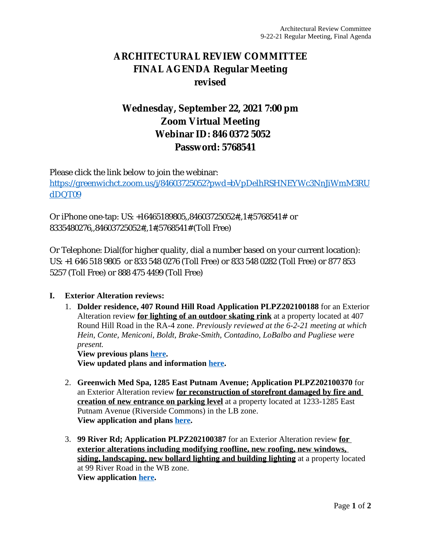## **ARCHITECTURAL REVIEW COMMITTEE FINAL AGENDA Regular Meeting revised**

## **Wednesday, September 22, 2021 7:00 pm Zoom Virtual Meeting Webinar ID: 846 0372 5052 Password: 5768541**

Please click the link below to join the webinar: [https://greenwichct.zoom.us/j/84603725052?pwd=bVpDelhRSHNEYWc3NnJiWmM3RU](https://greenwichct.zoom.us/j/84603725052?pwd=bVpDelhRSHNEYWc3NnJiWmM3RUdDQT09) dDQT09

Or iPhone one-tap: US: +16465189805,,84603725052#,,1#,5768541# or 8335480276,,84603725052#,,1#,5768541# (Toll Free)

Or Telephone: Dial(for higher quality, dial a number based on your current location): US: +1 646 518 9805 or 833 548 0276 (Toll Free) or 833 548 0282 (Toll Free) or 877 853 5257 (Toll Free) or 888 475 4499 (Toll Free)

## **I. Exterior Alteration reviews:**

1. **Dolder residence, 407 Round Hill Road Application PLPZ202100188** for an Exterior Alteration review **for lighting of an outdoor skating rink** at a property located at 407 Round Hill Road in the RA-4 zone. *Previously reviewed at the 6-2-21 meeting at which Hein, Conte, Meniconi, Boldt, Brake-Smith, Contadino, LoBalbo and Pugliese were present.* **View previous plans [here.](https://www.greenwichct.gov/DocumentCenter/View/22815/407-Round-Hill-Road-ARC-Submission-2021-04-30)**

**View updated plans and information [here](https://www.greenwichct.gov/DocumentCenter/View/24679/full-Revisions-407-Round-Hill).**

- 2. **Greenwich Med Spa, 1285 East Putnam Avenue; Application PLPZ202100370** for an Exterior Alteration review **for reconstruction of storefront damaged by fire and creation of new entrance on parking level** at a property located at 1233-1285 East Putnam Avenue (Riverside Commons) in the LB zone. **View application and plans [here](https://www.greenwichct.gov/DocumentCenter/View/24680/PLPZ202100370-1233---1285-EPA-Gwich-Med-Spa).**
- 3. **99 River Rd; Application PLPZ202100387** for an Exterior Alteration review **for exterior alterations including modifying roofline, new roofing, new windows, siding, landscaping, new bollard lighting and building lighting** at a property located at 99 River Road in the WB zone. **View application [here](https://www.greenwichct.gov/DocumentCenter/View/24682/Full-applications-99-River-Rd-PLPZ202100387).**